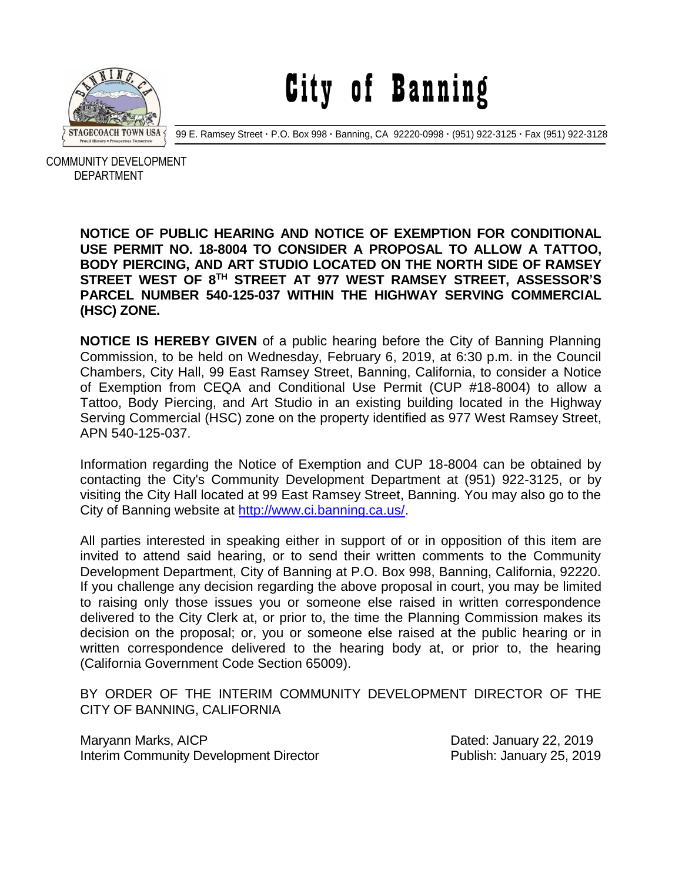

City of Banning

99 E. Ramsey Street **·** P.O. Box 998 **·** Banning, CA 92220-0998 **·** (951) 922-3125 **·** Fax (951) 922-3128

 COMMUNITY DEVELOPMENT DEPARTMENT

> **NOTICE OF PUBLIC HEARING AND NOTICE OF EXEMPTION FOR CONDITIONAL USE PERMIT NO. 18-8004 TO CONSIDER A PROPOSAL TO ALLOW A TATTOO, BODY PIERCING, AND ART STUDIO LOCATED ON THE NORTH SIDE OF RAMSEY STREET WEST OF 8TH STREET AT 977 WEST RAMSEY STREET, ASSESSOR'S PARCEL NUMBER 540-125-037 WITHIN THE HIGHWAY SERVING COMMERCIAL (HSC) ZONE.**

> **NOTICE IS HEREBY GIVEN** of a public hearing before the City of Banning Planning Commission, to be held on Wednesday, February 6, 2019, at 6:30 p.m. in the Council Chambers, City Hall, 99 East Ramsey Street, Banning, California, to consider a Notice of Exemption from CEQA and Conditional Use Permit (CUP #18-8004) to allow a Tattoo, Body Piercing, and Art Studio in an existing building located in the Highway Serving Commercial (HSC) zone on the property identified as 977 West Ramsey Street, APN 540-125-037.

> Information regarding the Notice of Exemption and CUP 18-8004 can be obtained by contacting the City's Community Development Department at (951) 922-3125, or by visiting the City Hall located at 99 East Ramsey Street, Banning. You may also go to the City of Banning website at [http://www.ci.banning.ca.us/.](http://www.ci.banning.ca.us/)

> All parties interested in speaking either in support of or in opposition of this item are invited to attend said hearing, or to send their written comments to the Community Development Department, City of Banning at P.O. Box 998, Banning, California, 92220. If you challenge any decision regarding the above proposal in court, you may be limited to raising only those issues you or someone else raised in written correspondence delivered to the City Clerk at, or prior to, the time the Planning Commission makes its decision on the proposal; or, you or someone else raised at the public hearing or in written correspondence delivered to the hearing body at, or prior to, the hearing (California Government Code Section 65009).

> BY ORDER OF THE INTERIM COMMUNITY DEVELOPMENT DIRECTOR OF THE CITY OF BANNING, CALIFORNIA

> Maryann Marks, AICP Dated: January 22, 2019 Interim Community Development Director **Publish: January 25, 2019**